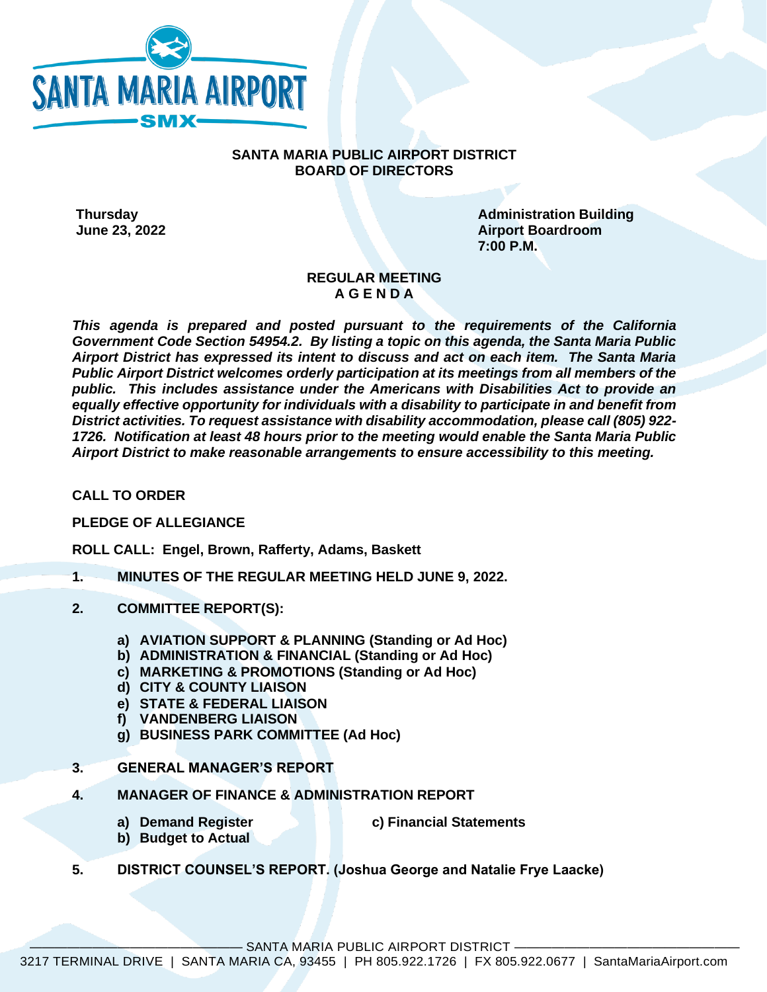

## **SANTA MARIA PUBLIC AIRPORT DISTRICT BOARD OF DIRECTORS**

**Thursday Administration Building Administration Building June 23, 2022 Airport Boardroom 7:00 P.M.**

## **REGULAR MEETING A G E N D A**

*This agenda is prepared and posted pursuant to the requirements of the California Government Code Section 54954.2. By listing a topic on this agenda, the Santa Maria Public Airport District has expressed its intent to discuss and act on each item. The Santa Maria Public Airport District welcomes orderly participation at its meetings from all members of the public. This includes assistance under the Americans with Disabilities Act to provide an equally effective opportunity for individuals with a disability to participate in and benefit from District activities. To request assistance with disability accommodation, please call (805) 922- 1726. Notification at least 48 hours prior to the meeting would enable the Santa Maria Public Airport District to make reasonable arrangements to ensure accessibility to this meeting.*

**CALL TO ORDER**

**PLEDGE OF ALLEGIANCE** 

**ROLL CALL: Engel, Brown, Rafferty, Adams, Baskett**

- **1. MINUTES OF THE REGULAR MEETING HELD JUNE 9, 2022.**
- **2. COMMITTEE REPORT(S):**
	- **a) AVIATION SUPPORT & PLANNING (Standing or Ad Hoc)**
	- **b) ADMINISTRATION & FINANCIAL (Standing or Ad Hoc)**
	- **c) MARKETING & PROMOTIONS (Standing or Ad Hoc)**
	- **d) CITY & COUNTY LIAISON**
	- **e) STATE & FEDERAL LIAISON**
	- **f) VANDENBERG LIAISON**
	- **g) BUSINESS PARK COMMITTEE (Ad Hoc)**
- **3. GENERAL MANAGER'S REPORT**
- **4. MANAGER OF FINANCE & ADMINISTRATION REPORT**
	-
	- **a) Demand Register c) Financial Statements**
	- **b) Budget to Actual**
- **5. DISTRICT COUNSEL'S REPORT. (Joshua George and Natalie Frye Laacke)**

SANTA MARIA PUBLIC AIRPORT DISTRICT -